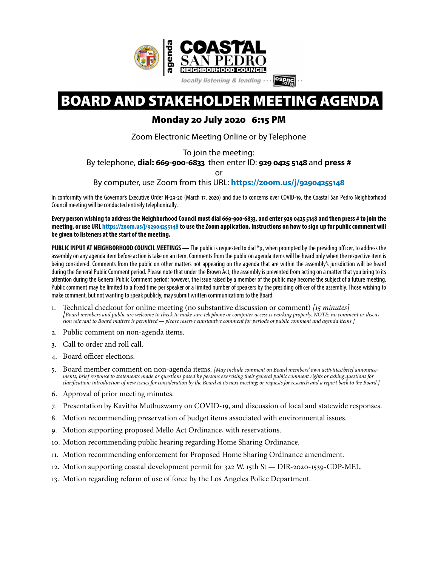

# BOARD AND STAKEHOLDER MEETING AGENDA

# Monday 20 July 2020 6:15 PM

Zoom Electronic Meeting Online or by Telephone

To join the meeting:

By telephone, **dial: 669-900-6833** then enter ID: **929 0425 5148** and **press #**

or

By computer, use Zoom from this URL: **[https://zoom.us/j/](https://zoom.us/j/92904255148)92904255148**

In conformity with the Governor's Executive Order N-29-20 (March 17, 2020) and due to concerns over COVID-19, the Coastal San Pedro Neighborhood Council meeting will be conducted entirely telephonically.

**Every person wishing to address the Neighborhood Council must dial 669-900-6833, and enter 929 04255148 and then press # to join the meeting, or use URL [https://zoom.us/j/](https://zoom.us/j/92904255148)92904255148 to use the Zoom application. Instructions on how to sign up for public comment will be given to listeners at the start of the meeting.** 

**PUBLIC INPUT AT NEIGHBORHOOD COUNCIL MEETINGS —** The public is requested to dial \*9, when prompted by the presiding officer, to address the assembly on any agenda item before action is take on an item. Comments from the public on agenda items will be heard only when the respective item is being considered. Comments from the public on other matters not appearing on the agenda that are within the assembly's jurisdiction will be heard during the General Public Comment period. Please note that under the Brown Act, the assembly is prevented from acting on a matter that you bring to its attention during the General Public Comment period; however, the issue raised by a member of the public may become the subject of a future meeting. Public comment may be limited to a fxed time per speaker or a limited number of speakers by the presiding officer of the assembly. Those wishing to make comment, but not wanting to speak publicly, may submit written communications to the Board.

- 1. Technical checkout for online meeting (no substantive discussion or comment) [15 minutes]<br>[Board members and public are welcome to check to make sure telephone or computer access is working properly. NOTE: no comment or *sion relevant to Board matters is permitted — please reserve substantive comment for periods of public comment and agenda items.]*
- 2. Public comment on non-agenda items.
- 3. Call to order and roll call.
- 4. Board officer elections.
- 5. Board member comment on non-agenda items. *[May include comment on Board members' own activities/brief announcements; brief response to statements made or questions posed by persons exercising their general public comment rights or asking questions for clari*f*cation; introduction of new issues for consideration by the Board at its next meeting; or requests for research and a report back to the Board.]*
- 6. Approval of prior meeting minutes.
- 7. Presentation by Kavitha Muthuswamy on COVID-19, and discussion of local and statewide responses.
- 8. Motion recommending preservation of budget items associated with environmental issues.
- 9. Motion supporting proposed Mello Act Ordinance, with reservations.
- 10. Motion recommending public hearing regarding Home Sharing Ordinance.
- 11. Motion recommending enforcement for Proposed Home Sharing Ordinance amendment.
- 12. Motion supporting coastal development permit for 322 W. 15th St DIR-2020-1539-CDP-MEL.
- 13. Motion regarding reform of use of force by the Los Angeles Police Department.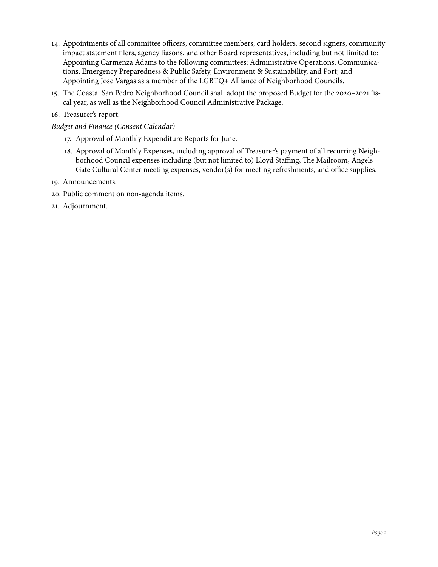- 14. Appointments of all committee officers, committee members, card holders, second signers, community impact statement flers, agency liasons, and other Board representatives, including but not limited to: Appointing Carmenza Adams to the following committees: Administrative Operations, Communications, Emergency Preparedness & Public Safety, Environment & Sustainability, and Port; and Appointing Jose Vargas as a member of the LGBTQ+ Alliance of Neighborhood Councils.
- 15. The Coastal San Pedro Neighborhood Council shall adopt the proposed Budget for the 2020-2021 fiscal year, as well as the Neighborhood Council Administrative Package.
- 16. Treasurer's report.
- *Budget and Finance (Consent Calendar)* 
	- 17. Approval of Monthly Expenditure Reports for June.
	- 18. Approval of Monthly Expenses, including approval of Treasurer's payment of all recurring Neighborhood Council expenses including (but not limited to) Lloyd Staffing, The Mailroom, Angels Gate Cultural Center meeting expenses, vendor(s) for meeting refreshments, and office supplies.
- 19. Announcements.
- 20. Public comment on non-agenda items.
- 21. Adjournment.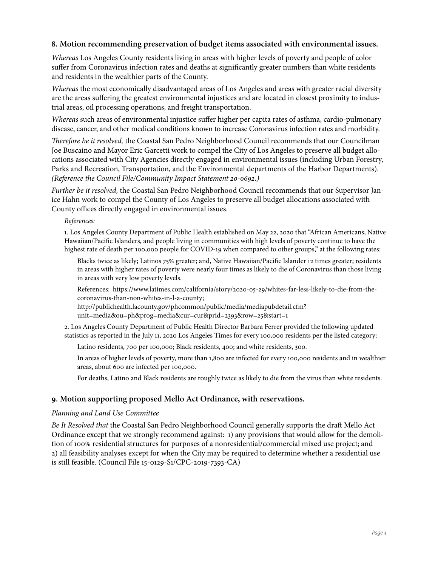#### **8. Motion recommending preservation of budget items associated with environmental issues.**

*Whereas* Los Angeles County residents living in areas with higher levels of poverty and people of color suffer from Coronavirus infection rates and deaths at signifcantly greater numbers than white residents and residents in the wealthier parts of the County.

*Whereas* the most economically disadvantaged areas of Los Angeles and areas with greater racial diversity are the areas suffering the greatest environmental injustices and are located in closest proximity to industrial areas, oil processing operations, and freight transportation.

*Whereas* such areas of environmental injustice suffer higher per capita rates of asthma, cardio-pulmonary disease, cancer, and other medical conditions known to increase Coronavirus infection rates and morbidity.

T*erefore be it resolved,* the Coastal San Pedro Neighborhood Council recommends that our Councilman Joe Buscaino and Mayor Eric Garcetti work to compel the City of Los Angeles to preserve all budget allocations associated with City Agencies directly engaged in environmental issues (including Urban Forestry, Parks and Recreation, Transportation, and the Environmental departments of the Harbor Departments). *(Reference the Council File/Community Impact Statement* 20*-*0692*.)*

*Further be it resolved,* the Coastal San Pedro Neighborhood Council recommends that our Supervisor Janice Hahn work to compel the County of Los Angeles to preserve all budget allocations associated with County offices directly engaged in environmental issues.

*References:* 

1. Los Angeles County Department of Public Health established on May 22, 2020 that "African Americans, Native Hawaiian/Pacifc Islanders, and people living in communities with high levels of poverty continue to have the highest rate of death per 100,000 people for COVID-19 when compared to other groups," at the following rates:

Blacks twice as likely; Latinos 75% greater; and, Native Hawaiian/Pacifc Islander 12 times greater; residents in areas with higher rates of poverty were nearly four times as likely to die of Coronavirus than those living in areas with very low poverty levels.

References: https://www.latimes.com/california/story/2020-05-29/whites-far-less-likely-to-die-from-thecoronavirus-than-non-whites-in-l-a-county;

http://publichealth.lacounty.gov/phcommon/public/media/mediapubdetail.cfm? unit=media&ou=ph&prog=media&cur=cur&prid=2393&row=25&start=1

2. Los Angeles County Department of Public Health Director Barbara Ferrer provided the following updated statistics as reported in the July 11, 2020 Los Angeles Times for every 100,000 residents per the listed category:

Latino residents, 700 per 100,000; Black residents, 400; and white residents, 300.

In areas of higher levels of poverty, more than 1,800 are infected for every 100,000 residents and in wealthier areas, about 600 are infected per 100,000.

For deaths, Latino and Black residents are roughly twice as likely to die from the virus than white residents.

#### **9. Motion supporting proposed Mello Act Ordinance, with reservations.**

#### *Planning and Land Use Committee*

*Be It Resolved that* the Coastal San Pedro Neighborhood Council generally supports the draf Mello Act Ordinance except that we strongly recommend against: 1) any provisions that would allow for the demolition of 100% residential structures for purposes of a nonresidential/commercial mixed use project; and 2) all feasibility analyses except for when the City may be required to determine whether a residential use is still feasible. (Council File 15-0129-S1/CPC-2019-7393-CA)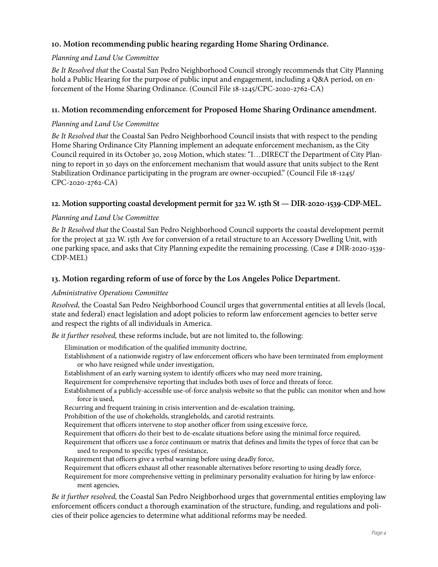# **10. Motion recommending public hearing regarding Home Sharing Ordinance.**

#### *Planning and Land Use Committee*

*Be It Resolved that* the Coastal San Pedro Neighborhood Council strongly recommends that City Planning hold a Public Hearing for the purpose of public input and engagement, including a Q&A period, on enforcement of the Home Sharing Ordinance. (Council File 18-1245/CPC-2020-2762-CA)

### **11. Motion recommending enforcement for Proposed Home Sharing Ordinance amendment.**

#### *Planning and Land Use Committee*

*Be It Resolved that* the Coastal San Pedro Neighborhood Council insists that with respect to the pending Home Sharing Ordinance City Planning implement an adequate enforcement mechanism, as the City Council required in its October 30, 2019 Motion, which states: "I…DIRECT the Department of City Planning to report in 30 days on the enforcement mechanism that would assure that units subject to the Rent Stabilization Ordinance participating in the program are owner-occupied." (Council File 18-1245/ CPC-2020-2762-CA)

# **12. Motion supporting coastal development permit for 322 W. 15th St — DIR-2020-1539-CDP-MEL.**

#### *Planning and Land Use Committee*

*Be It Resolved that* the Coastal San Pedro Neighborhood Council supports the coastal development permit for the project at 322 W. 15th Ave for conversion of a retail structure to an Accessory Dwelling Unit, with one parking space, and asks that City Planning expedite the remaining processing. (Case # DIR-2020-1539- CDP-MEL)

# **13. Motion regarding reform of use of force by the Los Angeles Police Department.**

#### *Administrative Operations Committee*

*Resolved,* the Coastal San Pedro Neighborhood Council urges that governmental entities at all levels (local, state and federal) enact legislation and adopt policies to reform law enforcement agencies to better serve and respect the rights of all individuals in America.

*Be it further resolved,* these reforms include, but are not limited to, the following:

Elimination or modifcation of the qualifed immunity doctrine,

- Establishment of a nationwide registry of law enforcement officers who have been terminated from employment or who have resigned while under investigation,
- Establishment of an early warning system to identify officers who may need more training,
- Requirement for comprehensive reporting that includes both uses of force and threats of force.
- Establishment of a publicly-accessible use-of-force analysis website so that the public can monitor when and how force is used,
- Recurring and frequent training in crisis intervention and de-escalation training,
- Prohibition of the use of chokeholds, strangleholds, and carotid restraints.
- Requirement that officers intervene to stop another officer from using excessive force,
- Requirement that officers do their best to de-escalate situations before using the minimal force required,
- Requirement that officers use a force continuum or matrix that defnes and limits the types of force that can be used to respond to specifc types of resistance,
- Requirement that officers give a verbal warning before using deadly force,
- Requirement that officers exhaust all other reasonable alternatives before resorting to using deadly force,
- Requirement for more comprehensive vetting in preliminary personality evaluation for hiring by law enforcement agencies,

*Be it further resolved,* the Coastal San Pedro Neighborhood urges that governmental entities employing law enforcement officers conduct a thorough examination of the structure, funding, and regulations and policies of their police agencies to determine what additional reforms may be needed.